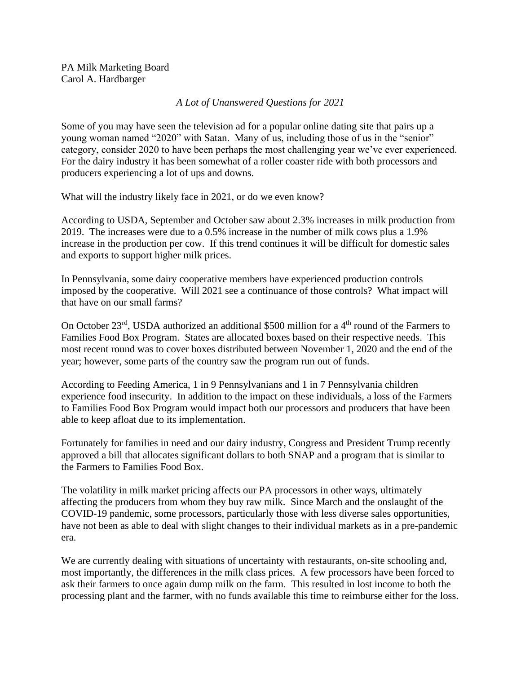PA Milk Marketing Board Carol A. Hardbarger

## *A Lot of Unanswered Questions for 2021*

Some of you may have seen the television ad for a popular online dating site that pairs up a young woman named "2020" with Satan. Many of us, including those of us in the "senior" category, consider 2020 to have been perhaps the most challenging year we've ever experienced. For the dairy industry it has been somewhat of a roller coaster ride with both processors and producers experiencing a lot of ups and downs.

What will the industry likely face in 2021, or do we even know?

According to USDA, September and October saw about 2.3% increases in milk production from 2019. The increases were due to a 0.5% increase in the number of milk cows plus a 1.9% increase in the production per cow. If this trend continues it will be difficult for domestic sales and exports to support higher milk prices.

In Pennsylvania, some dairy cooperative members have experienced production controls imposed by the cooperative. Will 2021 see a continuance of those controls? What impact will that have on our small farms?

On October 23<sup>rd</sup>, USDA authorized an additional \$500 million for a 4<sup>th</sup> round of the Farmers to Families Food Box Program. States are allocated boxes based on their respective needs. This most recent round was to cover boxes distributed between November 1, 2020 and the end of the year; however, some parts of the country saw the program run out of funds.

According to Feeding America, 1 in 9 Pennsylvanians and 1 in 7 Pennsylvania children experience food insecurity. In addition to the impact on these individuals, a loss of the Farmers to Families Food Box Program would impact both our processors and producers that have been able to keep afloat due to its implementation.

Fortunately for families in need and our dairy industry, Congress and President Trump recently approved a bill that allocates significant dollars to both SNAP and a program that is similar to the Farmers to Families Food Box.

The volatility in milk market pricing affects our PA processors in other ways, ultimately affecting the producers from whom they buy raw milk. Since March and the onslaught of the COVID-19 pandemic, some processors, particularly those with less diverse sales opportunities, have not been as able to deal with slight changes to their individual markets as in a pre-pandemic era.

We are currently dealing with situations of uncertainty with restaurants, on-site schooling and, most importantly, the differences in the milk class prices. A few processors have been forced to ask their farmers to once again dump milk on the farm. This resulted in lost income to both the processing plant and the farmer, with no funds available this time to reimburse either for the loss.